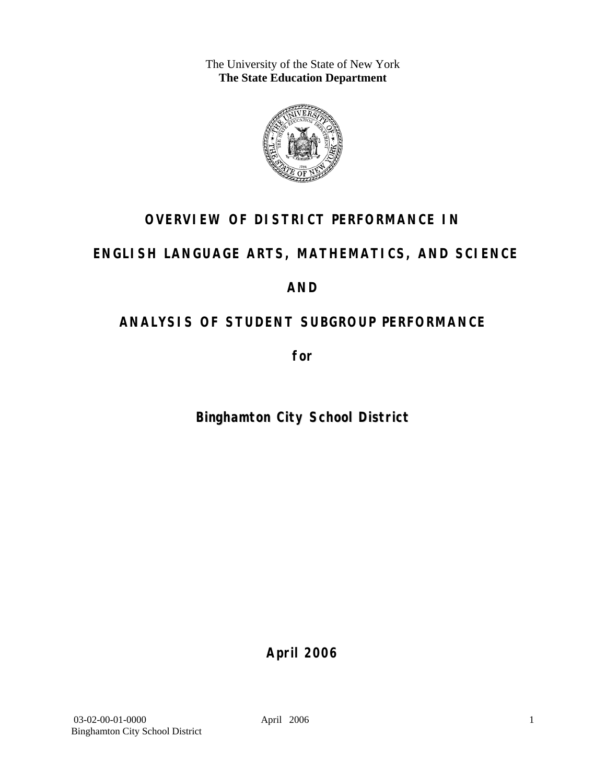The University of the State of New York **The State Education Department** 



# **OVERVIEW OF DISTRICT PERFORMANCE IN**

# **ENGLISH LANGUAGE ARTS, MATHEMATICS, AND SCIENCE**

# **AND**

# **ANALYSIS OF STUDENT SUBGROUP PERFORMANCE**

**for** 

# **Binghamton City School District**

**April 2006**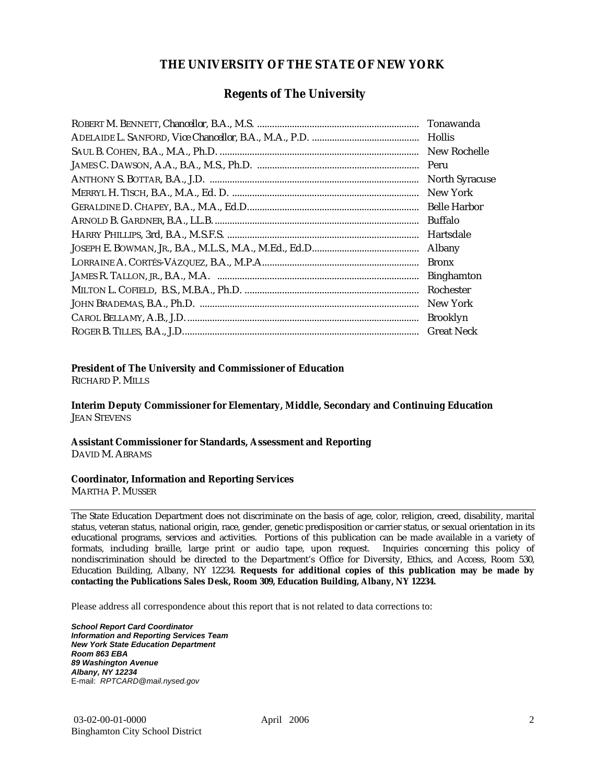### **THE UNIVERSITY OF THE STATE OF NEW YORK**

### **Regents of The University**

| Hollis                |
|-----------------------|
| New Rochelle          |
|                       |
| <b>North Syracuse</b> |
| New York              |
|                       |
| Buffalo               |
| Hartsdale             |
| Albany                |
| <b>Bronx</b>          |
| <b>Binghamton</b>     |
| Rochester             |
| New York              |
| <b>Brooklyn</b>       |
| <b>Great Neck</b>     |

### **President of The University and Commissioner of Education**

RICHARD P. MILLS

**Interim Deputy Commissioner for Elementary, Middle, Secondary and Continuing Education**  JEAN STEVENS

#### **Assistant Commissioner for Standards, Assessment and Reporting**  DAVID M. ABRAMS

#### **Coordinator, Information and Reporting Services**

MARTHA P. MUSSER

The State Education Department does not discriminate on the basis of age, color, religion, creed, disability, marital status, veteran status, national origin, race, gender, genetic predisposition or carrier status, or sexual orientation in its educational programs, services and activities. Portions of this publication can be made available in a variety of formats, including braille, large print or audio tape, upon request. Inquiries concerning this policy of nondiscrimination should be directed to the Department's Office for Diversity, Ethics, and Access, Room 530, Education Building, Albany, NY 12234. **Requests for additional copies of this publication may be made by contacting the Publications Sales Desk, Room 309, Education Building, Albany, NY 12234.** 

Please address all correspondence about this report that is not related to data corrections to:

*School Report Card Coordinator Information and Reporting Services Team New York State Education Department Room 863 EBA 89 Washington Avenue Albany, NY 12234*  E-mail: *RPTCARD@mail.nysed.gov*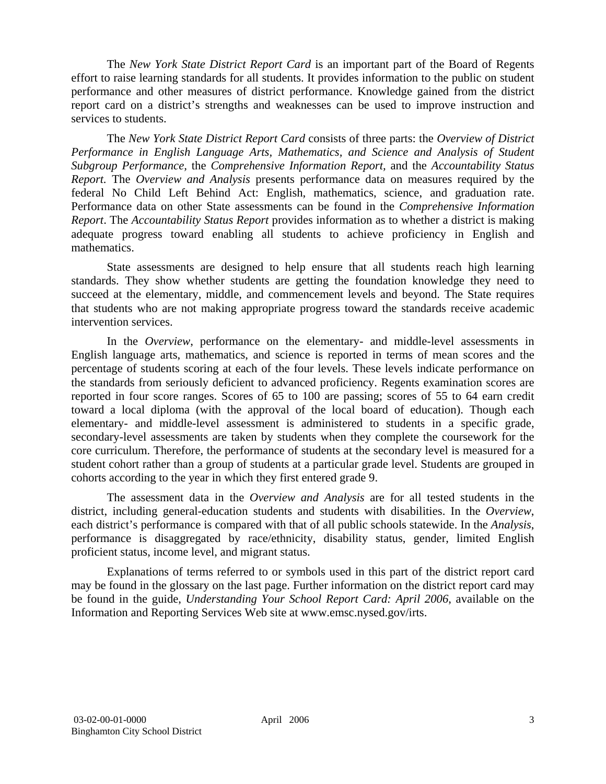The *New York State District Report Card* is an important part of the Board of Regents effort to raise learning standards for all students. It provides information to the public on student performance and other measures of district performance. Knowledge gained from the district report card on a district's strengths and weaknesses can be used to improve instruction and services to students.

The *New York State District Report Card* consists of three parts: the *Overview of District Performance in English Language Arts, Mathematics, and Science and Analysis of Student Subgroup Performance,* the *Comprehensive Information Report,* and the *Accountability Status Report.* The *Overview and Analysis* presents performance data on measures required by the federal No Child Left Behind Act: English, mathematics, science, and graduation rate. Performance data on other State assessments can be found in the *Comprehensive Information Report*. The *Accountability Status Report* provides information as to whether a district is making adequate progress toward enabling all students to achieve proficiency in English and mathematics.

State assessments are designed to help ensure that all students reach high learning standards. They show whether students are getting the foundation knowledge they need to succeed at the elementary, middle, and commencement levels and beyond. The State requires that students who are not making appropriate progress toward the standards receive academic intervention services.

In the *Overview*, performance on the elementary- and middle-level assessments in English language arts, mathematics, and science is reported in terms of mean scores and the percentage of students scoring at each of the four levels. These levels indicate performance on the standards from seriously deficient to advanced proficiency. Regents examination scores are reported in four score ranges. Scores of 65 to 100 are passing; scores of 55 to 64 earn credit toward a local diploma (with the approval of the local board of education). Though each elementary- and middle-level assessment is administered to students in a specific grade, secondary-level assessments are taken by students when they complete the coursework for the core curriculum. Therefore, the performance of students at the secondary level is measured for a student cohort rather than a group of students at a particular grade level. Students are grouped in cohorts according to the year in which they first entered grade 9.

The assessment data in the *Overview and Analysis* are for all tested students in the district, including general-education students and students with disabilities. In the *Overview*, each district's performance is compared with that of all public schools statewide. In the *Analysis*, performance is disaggregated by race/ethnicity, disability status, gender, limited English proficient status, income level, and migrant status.

Explanations of terms referred to or symbols used in this part of the district report card may be found in the glossary on the last page. Further information on the district report card may be found in the guide, *Understanding Your School Report Card: April 2006*, available on the Information and Reporting Services Web site at www.emsc.nysed.gov/irts.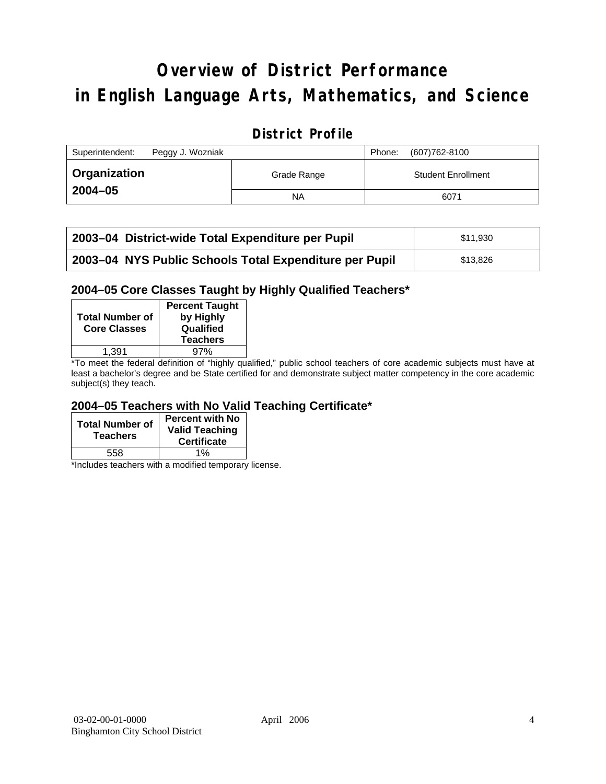# **Overview of District Performance in English Language Arts, Mathematics, and Science**

### **District Profile**

| Superintendent:     | Peggy J. Wozniak |             | Phone: | (607) 762-8100            |
|---------------------|------------------|-------------|--------|---------------------------|
| <b>Organization</b> |                  | Grade Range |        | <b>Student Enrollment</b> |
| $2004 - 05$         |                  | ΝA          |        | 6071                      |

| 2003–04 District-wide Total Expenditure per Pupil      | \$11.930 |
|--------------------------------------------------------|----------|
| 2003-04 NYS Public Schools Total Expenditure per Pupil | \$13,826 |

### **2004–05 Core Classes Taught by Highly Qualified Teachers\***

| <b>Total Number of</b><br><b>Core Classes</b> | <b>Percent Taught</b><br>by Highly<br>Qualified<br><b>Teachers</b> |
|-----------------------------------------------|--------------------------------------------------------------------|
| 1.391                                         | 97%                                                                |
| $\cdot$ $\cdot$ $\cdot$                       | .                                                                  |

\*To meet the federal definition of "highly qualified," public school teachers of core academic subjects must have at least a bachelor's degree and be State certified for and demonstrate subject matter competency in the core academic subject(s) they teach.

### **2004–05 Teachers with No Valid Teaching Certificate\***

| <b>Total Number of</b><br><b>Teachers</b> | <b>Percent with No</b><br><b>Valid Teaching</b><br><b>Certificate</b> |
|-------------------------------------------|-----------------------------------------------------------------------|
| 558                                       | 1%                                                                    |

\*Includes teachers with a modified temporary license.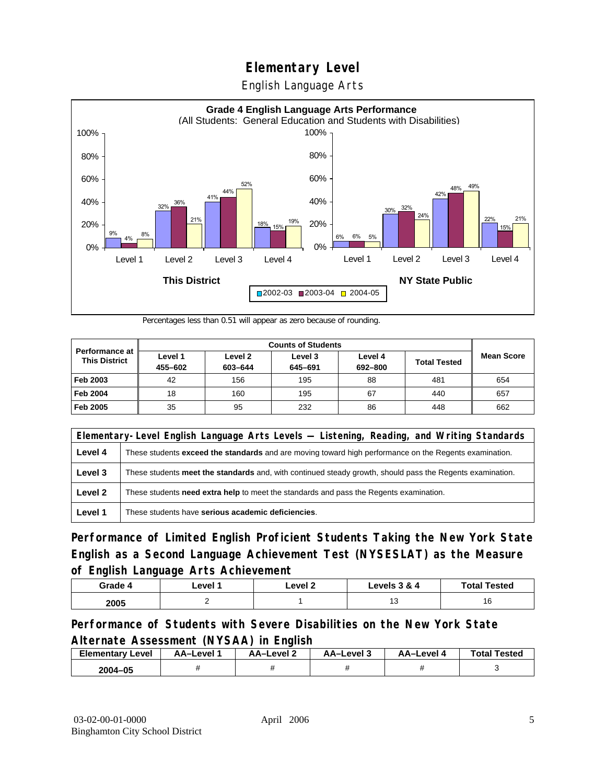English Language Arts



Percentages less than 0.51 will appear as zero because of rounding.

|                                        | <b>Counts of Students</b> |                    |                    |                    |                     |                   |  |
|----------------------------------------|---------------------------|--------------------|--------------------|--------------------|---------------------|-------------------|--|
| Performance at<br><b>This District</b> | Level 1<br>455-602        | Level 2<br>603-644 | Level 3<br>645-691 | Level 4<br>692-800 | <b>Total Tested</b> | <b>Mean Score</b> |  |
| Feb 2003                               | 42                        | 156                | 195                | 88                 | 481                 | 654               |  |
| <b>Feb 2004</b>                        | 18                        | 160                | 195                | 67                 | 440                 | 657               |  |
| Feb 2005                               | 35                        | 95                 | 232                | 86                 | 448                 | 662               |  |

|         | Elementary-Level English Language Arts Levels — Listening, Reading, and Writing Standards                     |  |  |  |  |  |
|---------|---------------------------------------------------------------------------------------------------------------|--|--|--|--|--|
| Level 4 | These students <b>exceed the standards</b> and are moving toward high performance on the Regents examination. |  |  |  |  |  |
| Level 3 | These students meet the standards and, with continued steady growth, should pass the Regents examination.     |  |  |  |  |  |
| Level 2 | These students need extra help to meet the standards and pass the Regents examination.                        |  |  |  |  |  |
| Level 1 | These students have serious academic deficiencies.                                                            |  |  |  |  |  |

**Performance of Limited English Proficient Students Taking the New York State English as a Second Language Achievement Test (NYSESLAT) as the Measure of English Language Arts Achievement**

| Grade 4 | Level | Level 2 | Levels 3 & 4 | <b>Total Tested</b> |
|---------|-------|---------|--------------|---------------------|
| 2005    |       |         | ں ו          | ιv                  |

### **Performance of Students with Severe Disabilities on the New York State Alternate Assessment (NYSAA) in English**

| <b>Elementary Level</b> | AA-Level | AA-Level 2 | AA-Level 3 | AA–Level 4 | <b>Total Tested</b> |
|-------------------------|----------|------------|------------|------------|---------------------|
| 2004-05                 |          |            |            |            |                     |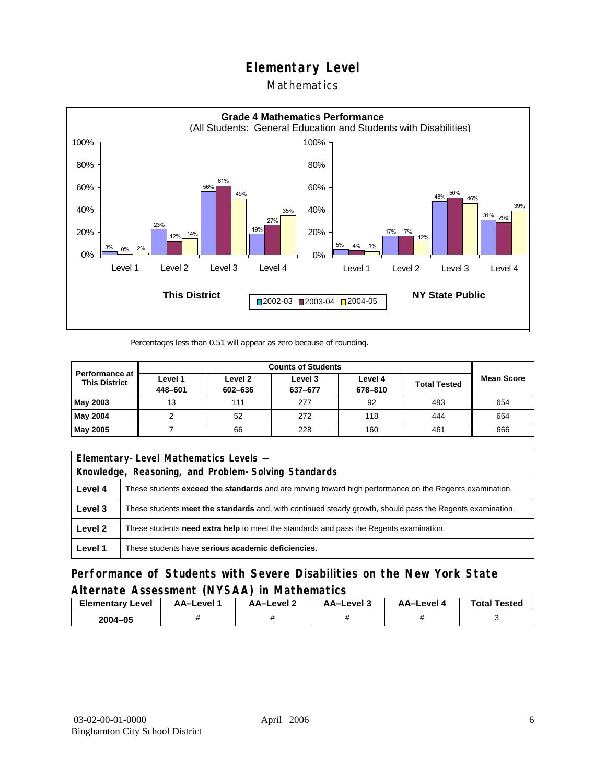### Mathematics



Percentages less than 0.51 will appear as zero because of rounding.

| <b>Counts of Students</b><br>Performance at |                    |                    |                    |                    |                     |                   |
|---------------------------------------------|--------------------|--------------------|--------------------|--------------------|---------------------|-------------------|
| <b>This District</b>                        | Level 1<br>448-601 | Level 2<br>602-636 | Level 3<br>637-677 | Level 4<br>678-810 | <b>Total Tested</b> | <b>Mean Score</b> |
| May 2003                                    | 13                 | 111                | 277                | 92                 | 493                 | 654               |
| May 2004                                    |                    | 52                 | 272                | 118                | 444                 | 664               |
| May 2005                                    |                    | 66                 | 228                | 160                | 461                 | 666               |

| Elementary-Level Mathematics Levels - |                                                                                                               |  |  |  |
|---------------------------------------|---------------------------------------------------------------------------------------------------------------|--|--|--|
|                                       | Knowledge, Reasoning, and Problem-Solving Standards                                                           |  |  |  |
| Level 4                               | These students <b>exceed the standards</b> and are moving toward high performance on the Regents examination. |  |  |  |
| Level 3                               | These students meet the standards and, with continued steady growth, should pass the Regents examination.     |  |  |  |
| Level 2                               | These students <b>need extra help</b> to meet the standards and pass the Regents examination.                 |  |  |  |
| Level 1                               | These students have serious academic deficiencies.                                                            |  |  |  |

**Performance of Students with Severe Disabilities on the New York State Alternate Assessment (NYSAA) in Mathematics** 

| Level<br>Elementary | AA-Level | – AA–Level ∠ | د AA–Level | AA-Level | <b>Total Tested</b> |
|---------------------|----------|--------------|------------|----------|---------------------|
| 2004-05             |          |              |            |          |                     |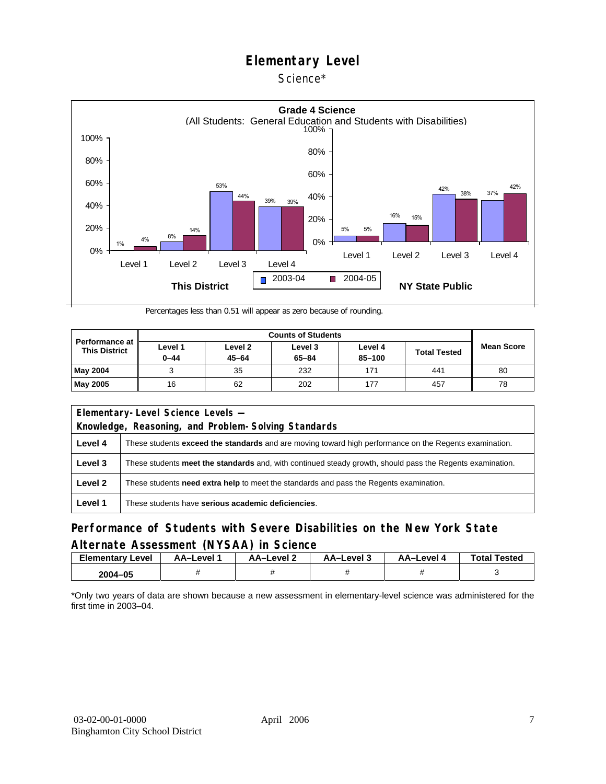### Science\*



Percentages less than 0.51 will appear as zero because of rounding.

| <b>Performance at</b><br><b>This District</b> | Level 1<br>$0 - 44$ | Level 2<br>$45 - 64$ | Level 3<br>$65 - 84$ | Level 4<br>$85 - 100$ | <b>Total Tested</b> | <b>Mean Score</b> |
|-----------------------------------------------|---------------------|----------------------|----------------------|-----------------------|---------------------|-------------------|
| <b>May 2004</b>                               |                     | 35                   | 232                  | 171                   | 441                 | 80                |
| <b>May 2005</b>                               | 16                  | 62                   | 202                  | 177                   | 457                 | 78                |

| Elementary-Level Science Levels -                   |                                                                                                               |  |  |  |
|-----------------------------------------------------|---------------------------------------------------------------------------------------------------------------|--|--|--|
| Knowledge, Reasoning, and Problem-Solving Standards |                                                                                                               |  |  |  |
| Level 4                                             | These students <b>exceed the standards</b> and are moving toward high performance on the Regents examination. |  |  |  |
| Level 3                                             | These students meet the standards and, with continued steady growth, should pass the Regents examination.     |  |  |  |
| Level 2                                             | These students <b>need extra help</b> to meet the standards and pass the Regents examination.                 |  |  |  |
| Level 1                                             | These students have serious academic deficiencies.                                                            |  |  |  |

### **Performance of Students with Severe Disabilities on the New York State Alternate Assessment (NYSAA) in Science**

| <b>Elementary</b><br>Level | AA-Level | <b>AA-Level 2</b> | AA-Level 3 | AA-Level 4 | <b>Total Tested</b> |
|----------------------------|----------|-------------------|------------|------------|---------------------|
| 2004-05                    |          |                   |            |            |                     |

\*Only two years of data are shown because a new assessment in elementary-level science was administered for the first time in 2003–04.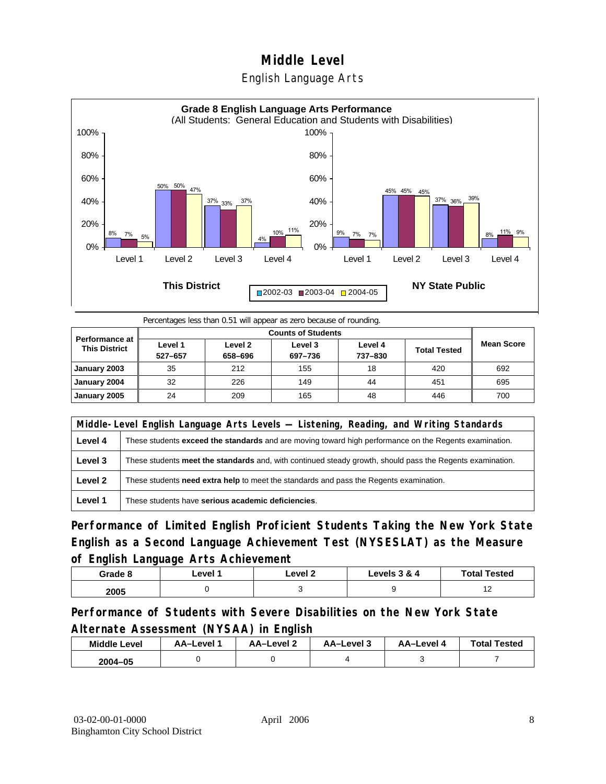



Percentages less than 0.51 will appear as zero because of rounding.

| <b>Performance at</b><br><b>This District</b> | Level 1<br>527-657 | Level 2<br>658-696 | Level 3<br>697-736 | Level 4<br>737-830 | <b>Total Tested</b> | <b>Mean Score</b> |
|-----------------------------------------------|--------------------|--------------------|--------------------|--------------------|---------------------|-------------------|
| January 2003                                  | 35                 | 212                | 155                | 18                 | 420                 | 692               |
| January 2004                                  | 32                 | 226                | 149                | 44                 | 451                 | 695               |
| January 2005                                  | 24                 | 209                | 165                | 48                 | 446                 | 700               |

|         | Middle-Level English Language Arts Levels — Listening, Reading, and Writing Standards                     |  |  |  |  |
|---------|-----------------------------------------------------------------------------------------------------------|--|--|--|--|
| Level 4 | These students exceed the standards and are moving toward high performance on the Regents examination.    |  |  |  |  |
| Level 3 | These students meet the standards and, with continued steady growth, should pass the Regents examination. |  |  |  |  |
| Level 2 | These students need extra help to meet the standards and pass the Regents examination.                    |  |  |  |  |
| Level 1 | These students have serious academic deficiencies.                                                        |  |  |  |  |

**Performance of Limited English Proficient Students Taking the New York State English as a Second Language Achievement Test (NYSESLAT) as the Measure of English Language Arts Achievement**

| Grade 8 | ∟evel 1 | ∟evel 2 | Levels 3 & 4 | <b>Total Tested</b> |
|---------|---------|---------|--------------|---------------------|
| 2005    |         |         |              | . .                 |

**Performance of Students with Severe Disabilities on the New York State Alternate Assessment (NYSAA) in English** 

| <b>Middle Level</b> | AA-Level | AA-Level 2 | AA-Level 3 | AA–Level 4 | <b>Total Tested</b> |
|---------------------|----------|------------|------------|------------|---------------------|
| $2004 - 05$         |          |            |            |            |                     |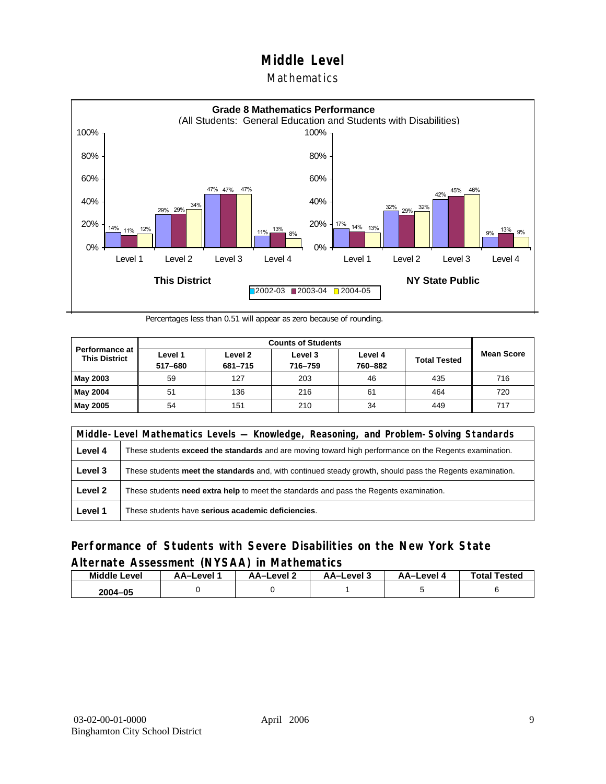### **Mathematics**



Percentages less than 0.51 will appear as zero because of rounding.

|                                          |                    | <b>Counts of Students</b> |                    |                    |                     |                   |  |  |  |
|------------------------------------------|--------------------|---------------------------|--------------------|--------------------|---------------------|-------------------|--|--|--|
| Performance at I<br><b>This District</b> | Level 1<br>517-680 | Level 2<br>681-715        | Level 3<br>716-759 | Level 4<br>760-882 | <b>Total Tested</b> | <b>Mean Score</b> |  |  |  |
| May 2003                                 | 59                 | 127                       | 203                | 46                 | 435                 | 716               |  |  |  |
| May 2004                                 | 51                 | 136                       | 216                | 61                 | 464                 | 720               |  |  |  |
| May 2005                                 | 54                 | 151                       | 210                | 34                 | 449                 | 717               |  |  |  |

|         | Middle-Level Mathematics Levels — Knowledge, Reasoning, and Problem-Solving Standards                         |  |  |  |  |
|---------|---------------------------------------------------------------------------------------------------------------|--|--|--|--|
| Level 4 | These students <b>exceed the standards</b> and are moving toward high performance on the Regents examination. |  |  |  |  |
| Level 3 | These students meet the standards and, with continued steady growth, should pass the Regents examination.     |  |  |  |  |
| Level 2 | These students need extra help to meet the standards and pass the Regents examination.                        |  |  |  |  |
| Level 1 | These students have serious academic deficiencies.                                                            |  |  |  |  |

### **Performance of Students with Severe Disabilities on the New York State Alternate Assessment (NYSAA) in Mathematics**

| <b>Middle Level</b> | AA-Level | <b>AA-Level 2</b> | AA–Level 3 | AA–Level 4 | <b>Total Tested</b> |
|---------------------|----------|-------------------|------------|------------|---------------------|
| 2004-05             |          |                   |            |            |                     |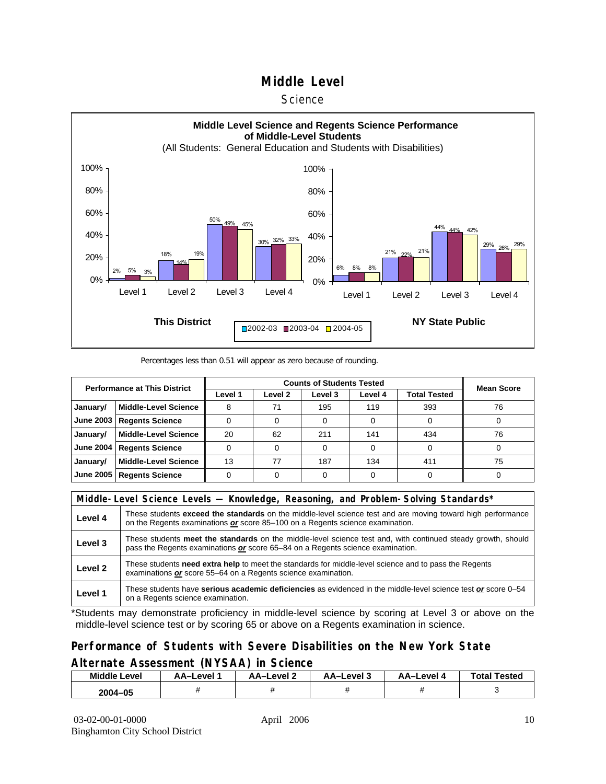#### **Science**



#### Percentages less than 0.51 will appear as zero because of rounding.

| <b>Performance at This District</b> |                             |         | <b>Mean Score</b> |         |         |              |    |
|-------------------------------------|-----------------------------|---------|-------------------|---------|---------|--------------|----|
|                                     |                             | Level 1 | Level 2           | Level 3 | Level 4 | Total Tested |    |
| January/                            | <b>Middle-Level Science</b> |         | 71                | 195     | 119     | 393          | 76 |
| <b>June 2003</b>                    | <b>Regents Science</b>      |         |                   |         |         |              |    |
| January/                            | <b>Middle-Level Science</b> | 20      | 62                | 211     | 141     | 434          | 76 |
| <b>June 2004</b>                    | <b>Regents Science</b>      |         |                   |         |         |              |    |
| January/                            | <b>Middle-Level Science</b> | 13      | 77                | 187     | 134     | 411          | 75 |
| <b>June 2005</b>                    | <b>Regents Science</b>      |         |                   |         |         |              |    |

|         | Middle-Level Science Levels — Knowledge, Reasoning, and Problem-Solving Standards*                                                                                                                  |  |  |  |  |
|---------|-----------------------------------------------------------------------------------------------------------------------------------------------------------------------------------------------------|--|--|--|--|
| Level 4 | These students <b>exceed the standards</b> on the middle-level science test and are moving toward high performance<br>on the Regents examinations or score 85-100 on a Regents science examination. |  |  |  |  |
| Level 3 | These students meet the standards on the middle-level science test and, with continued steady growth, should<br>pass the Regents examinations or score 65–84 on a Regents science examination.      |  |  |  |  |
| Level 2 | These students need extra help to meet the standards for middle-level science and to pass the Regents<br>examinations or score 55–64 on a Regents science examination.                              |  |  |  |  |
| Level 1 | These students have serious academic deficiencies as evidenced in the middle-level science test or score 0-54<br>on a Regents science examination.                                                  |  |  |  |  |

\*Students may demonstrate proficiency in middle-level science by scoring at Level 3 or above on the middle-level science test or by scoring 65 or above on a Regents examination in science.

### **Performance of Students with Severe Disabilities on the New York State Alternate Assessment (NYSAA) in Science**

| Middle L<br>_evel | AA–Level | AA-Level 2 | AA-Level 3 | AA–Level | <b>Tested</b><br>Total |
|-------------------|----------|------------|------------|----------|------------------------|
| 2004-05           |          |            |            |          |                        |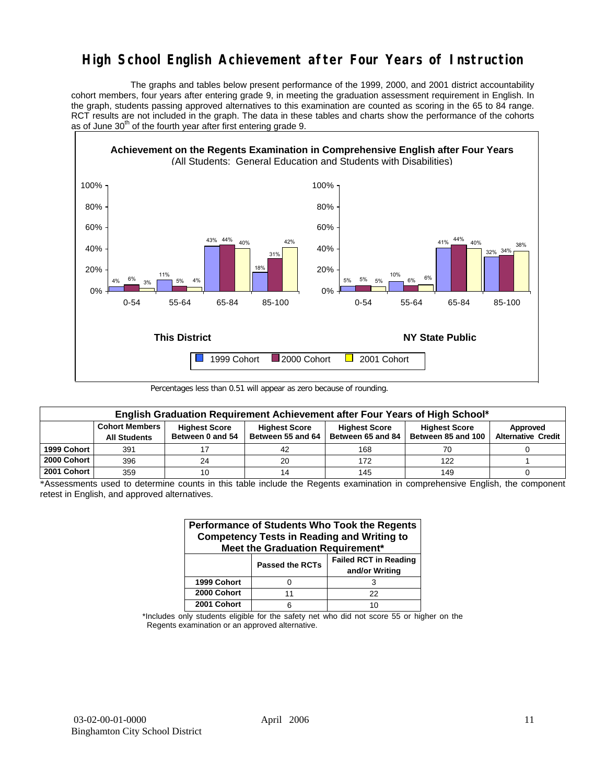# **High School English Achievement after Four Years of Instruction**

 The graphs and tables below present performance of the 1999, 2000, and 2001 district accountability cohort members, four years after entering grade 9, in meeting the graduation assessment requirement in English. In the graph, students passing approved alternatives to this examination are counted as scoring in the 65 to 84 range. RCT results are not included in the graph. The data in these tables and charts show the performance of the cohorts as of June  $30<sup>th</sup>$  of the fourth year after first entering grade 9.



Percentages less than 0.51 will appear as zero because of rounding.

|             | English Graduation Requirement Achievement after Four Years of High School* |                                          |                                           |                                           |                                            |                                       |  |  |  |  |  |  |
|-------------|-----------------------------------------------------------------------------|------------------------------------------|-------------------------------------------|-------------------------------------------|--------------------------------------------|---------------------------------------|--|--|--|--|--|--|
|             | <b>Cohort Members</b><br><b>All Students</b>                                | <b>Highest Score</b><br>Between 0 and 54 | <b>Highest Score</b><br>Between 55 and 64 | <b>Highest Score</b><br>Between 65 and 84 | <b>Highest Score</b><br>Between 85 and 100 | Approved<br><b>Alternative Credit</b> |  |  |  |  |  |  |
| 1999 Cohort | 391                                                                         |                                          | 42                                        | 168                                       | 70                                         |                                       |  |  |  |  |  |  |
| 2000 Cohort | 396                                                                         | 24                                       | 20                                        | 172                                       | 122                                        |                                       |  |  |  |  |  |  |
| 2001 Cohort | 359                                                                         |                                          |                                           | 145                                       | 149                                        |                                       |  |  |  |  |  |  |

\*Assessments used to determine counts in this table include the Regents examination in comprehensive English, the component retest in English, and approved alternatives.

| Performance of Students Who Took the Regents<br><b>Competency Tests in Reading and Writing to</b><br>Meet the Graduation Requirement* |                        |                                                |  |  |  |  |  |  |  |
|---------------------------------------------------------------------------------------------------------------------------------------|------------------------|------------------------------------------------|--|--|--|--|--|--|--|
|                                                                                                                                       | <b>Passed the RCTs</b> | <b>Failed RCT in Reading</b><br>and/or Writing |  |  |  |  |  |  |  |
| 1999 Cohort                                                                                                                           |                        |                                                |  |  |  |  |  |  |  |
| 2000 Cohort                                                                                                                           | 11                     | 22                                             |  |  |  |  |  |  |  |
| 2001 Cohort                                                                                                                           |                        |                                                |  |  |  |  |  |  |  |

\*Includes only students eligible for the safety net who did not score 55 or higher on the Regents examination or an approved alternative.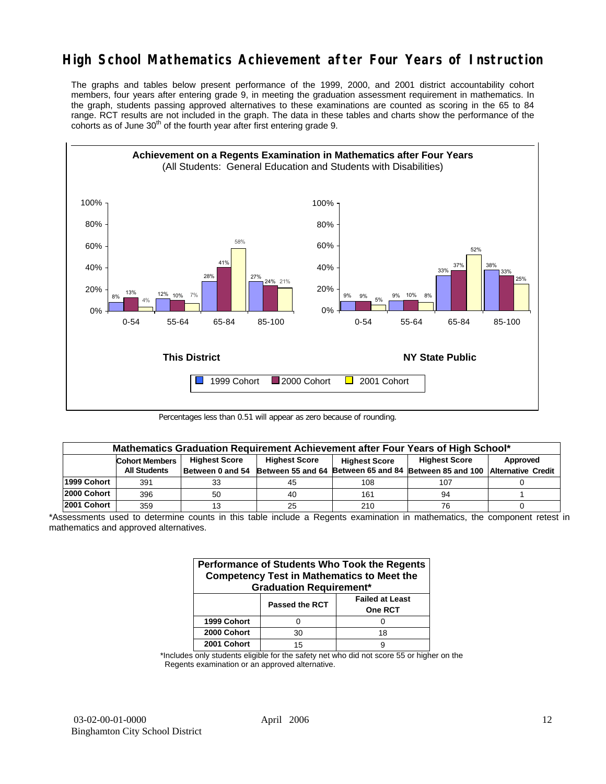# **High School Mathematics Achievement after Four Years of Instruction**

The graphs and tables below present performance of the 1999, 2000, and 2001 district accountability cohort members, four years after entering grade 9, in meeting the graduation assessment requirement in mathematics. In the graph, students passing approved alternatives to these examinations are counted as scoring in the 65 to 84 range. RCT results are not included in the graph. The data in these tables and charts show the performance of the cohorts as of June  $30<sup>th</sup>$  of the fourth year after first entering grade 9.



Percentages less than 0.51 will appear as zero because of rounding.

|             | Mathematics Graduation Requirement Achievement after Four Years of High School* |                      |                      |                      |                                                                           |          |  |  |  |  |  |
|-------------|---------------------------------------------------------------------------------|----------------------|----------------------|----------------------|---------------------------------------------------------------------------|----------|--|--|--|--|--|
|             | <b>Cohort Members</b>                                                           | <b>Highest Score</b> | <b>Highest Score</b> | <b>Highest Score</b> | <b>Highest Score</b>                                                      | Approved |  |  |  |  |  |
|             | <b>All Students</b>                                                             | Between 0 and 54     |                      |                      | Between 55 and 64 Between 65 and 84 Between 85 and 100 Alternative Credit |          |  |  |  |  |  |
| 1999 Cohort | 391                                                                             | 33                   | 45                   | 108                  | 107                                                                       |          |  |  |  |  |  |
| 2000 Cohort | 396                                                                             | 50                   | 40                   | 161                  | 94                                                                        |          |  |  |  |  |  |
| 2001 Cohort | 359                                                                             |                      | 25                   | 210                  | 76                                                                        |          |  |  |  |  |  |

<sup>\*</sup>Assessments used to determine counts in this table include a Regents examination in mathematics, the component retest in mathematics and approved alternatives.

| Performance of Students Who Took the Regents<br><b>Competency Test in Mathematics to Meet the</b><br><b>Graduation Requirement*</b> |                |                                          |  |  |  |  |  |  |
|-------------------------------------------------------------------------------------------------------------------------------------|----------------|------------------------------------------|--|--|--|--|--|--|
|                                                                                                                                     | Passed the RCT | <b>Failed at Least</b><br><b>One RCT</b> |  |  |  |  |  |  |
| 1999 Cohort                                                                                                                         | O              |                                          |  |  |  |  |  |  |
| 2000 Cohort                                                                                                                         | 30             | 18                                       |  |  |  |  |  |  |
| 2001 Cohort                                                                                                                         | 15             |                                          |  |  |  |  |  |  |

\*Includes only students eligible for the safety net who did not score 55 or higher on the Regents examination or an approved alternative.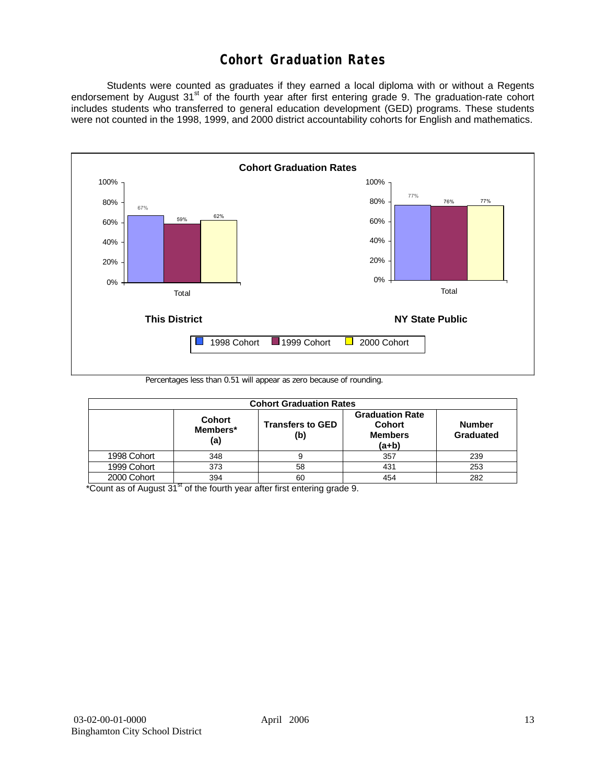# **Cohort Graduation Rates**

 Students were counted as graduates if they earned a local diploma with or without a Regents endorsement by August 31<sup>st</sup> of the fourth year after first entering grade 9. The graduation-rate cohort includes students who transferred to general education development (GED) programs. These students were not counted in the 1998, 1999, and 2000 district accountability cohorts for English and mathematics.



Percentages less than 0.51 will appear as zero because of rounding.

|             | <b>Cohort Graduation Rates</b>   |                                |                                                                      |                            |  |  |  |  |  |  |  |
|-------------|----------------------------------|--------------------------------|----------------------------------------------------------------------|----------------------------|--|--|--|--|--|--|--|
|             | <b>Cohort</b><br>Members*<br>(a) | <b>Transfers to GED</b><br>(b) | <b>Graduation Rate</b><br><b>Cohort</b><br><b>Members</b><br>$(a+b)$ | <b>Number</b><br>Graduated |  |  |  |  |  |  |  |
| 1998 Cohort | 348                              |                                | 357                                                                  | 239                        |  |  |  |  |  |  |  |
| 1999 Cohort | 373                              | 58                             | 431                                                                  | 253                        |  |  |  |  |  |  |  |
| 2000 Cohort | 394                              | 60                             | 454                                                                  | 282                        |  |  |  |  |  |  |  |

 $*$ Count as of August 31 $*$  of the fourth year after first entering grade 9.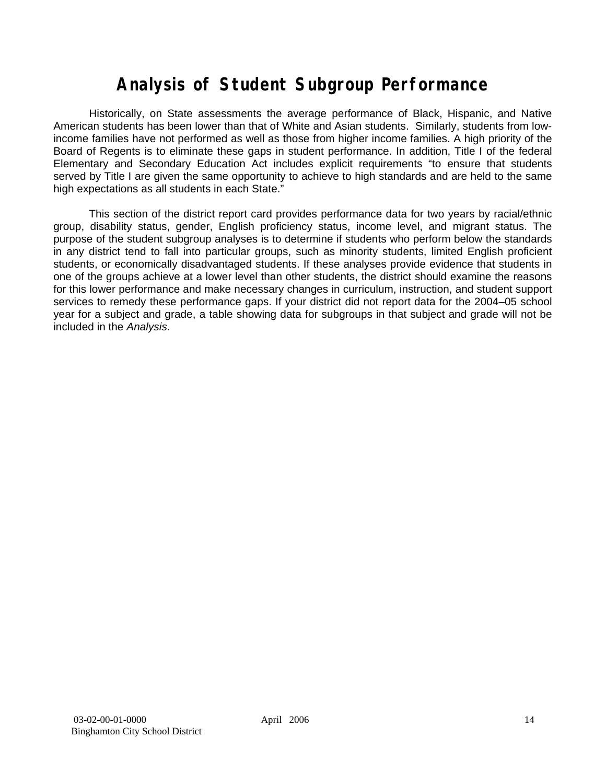# **Analysis of Student Subgroup Performance**

Historically, on State assessments the average performance of Black, Hispanic, and Native American students has been lower than that of White and Asian students. Similarly, students from lowincome families have not performed as well as those from higher income families. A high priority of the Board of Regents is to eliminate these gaps in student performance. In addition, Title I of the federal Elementary and Secondary Education Act includes explicit requirements "to ensure that students served by Title I are given the same opportunity to achieve to high standards and are held to the same high expectations as all students in each State."

This section of the district report card provides performance data for two years by racial/ethnic group, disability status, gender, English proficiency status, income level, and migrant status. The purpose of the student subgroup analyses is to determine if students who perform below the standards in any district tend to fall into particular groups, such as minority students, limited English proficient students, or economically disadvantaged students. If these analyses provide evidence that students in one of the groups achieve at a lower level than other students, the district should examine the reasons for this lower performance and make necessary changes in curriculum, instruction, and student support services to remedy these performance gaps. If your district did not report data for the 2004–05 school year for a subject and grade, a table showing data for subgroups in that subject and grade will not be included in the *Analysis*.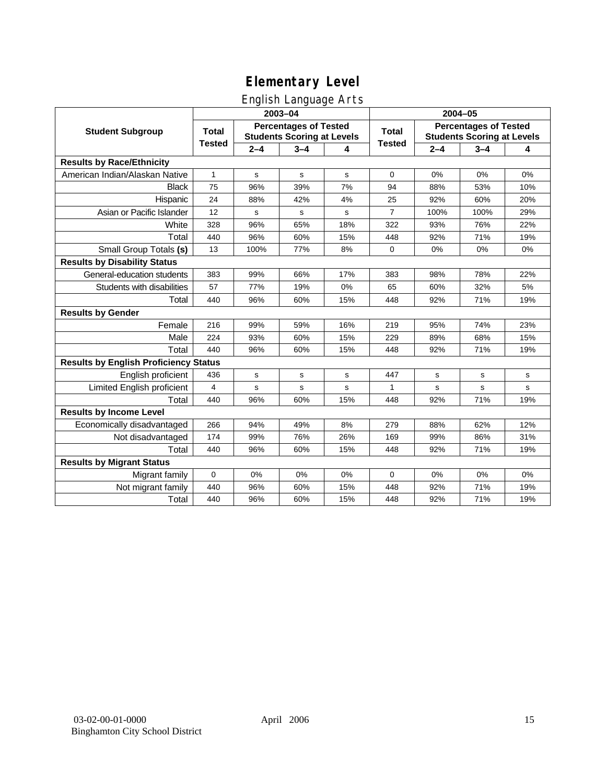# English Language Arts

|                                              |                |             | ັ<br>2003-04                                                      |     | 2004-05        |         |                                                                   |             |  |
|----------------------------------------------|----------------|-------------|-------------------------------------------------------------------|-----|----------------|---------|-------------------------------------------------------------------|-------------|--|
| <b>Student Subgroup</b>                      | <b>Total</b>   |             | <b>Percentages of Tested</b><br><b>Students Scoring at Levels</b> |     | <b>Total</b>   |         | <b>Percentages of Tested</b><br><b>Students Scoring at Levels</b> |             |  |
|                                              | <b>Tested</b>  | $2 - 4$     | $3 - 4$                                                           | 4   | <b>Tested</b>  | $2 - 4$ | $3 - 4$                                                           | 4           |  |
| <b>Results by Race/Ethnicity</b>             |                |             |                                                                   |     |                |         |                                                                   |             |  |
| American Indian/Alaskan Native               | $\mathbf{1}$   | $\mathbf s$ | $\mathbf s$                                                       | s   | $\mathbf 0$    | 0%      | 0%                                                                | 0%          |  |
| <b>Black</b>                                 | 75             | 96%         | 39%                                                               | 7%  | 94             | 88%     | 53%                                                               | 10%         |  |
| Hispanic                                     | 24             | 88%         | 42%                                                               | 4%  | 25             | 92%     | 60%                                                               | 20%         |  |
| Asian or Pacific Islander                    | 12             | s           | s                                                                 | s   | $\overline{7}$ | 100%    | 100%                                                              | 29%         |  |
| White                                        | 328            | 96%         | 65%                                                               | 18% | 322            | 93%     | 76%                                                               | 22%         |  |
| Total                                        | 440            | 96%         | 60%                                                               | 15% | 448            | 92%     | 71%                                                               | 19%         |  |
| Small Group Totals (s)                       | 13             | 100%        | 77%                                                               | 8%  | $\mathbf 0$    | 0%      | 0%                                                                | 0%          |  |
| <b>Results by Disability Status</b>          |                |             |                                                                   |     |                |         |                                                                   |             |  |
| General-education students                   | 383            | 99%         | 66%                                                               | 17% | 383            | 98%     | 78%                                                               | 22%         |  |
| Students with disabilities                   | 57             | 77%         | 19%                                                               | 0%  | 65             | 60%     | 32%                                                               | 5%          |  |
| Total                                        | 440            | 96%         | 60%                                                               | 15% | 448            | 92%     | 71%                                                               | 19%         |  |
| <b>Results by Gender</b>                     |                |             |                                                                   |     |                |         |                                                                   |             |  |
| Female                                       | 216            | 99%         | 59%                                                               | 16% | 219            | 95%     | 74%                                                               | 23%         |  |
| Male                                         | 224            | 93%         | 60%                                                               | 15% | 229            | 89%     | 68%                                                               | 15%         |  |
| Total                                        | 440            | 96%         | 60%                                                               | 15% | 448            | 92%     | 71%                                                               | 19%         |  |
| <b>Results by English Proficiency Status</b> |                |             |                                                                   |     |                |         |                                                                   |             |  |
| English proficient                           | 436            | $\mathbf s$ | $\mathbf s$                                                       | s   | 447            | s       | $\mathbf s$                                                       | s           |  |
| Limited English proficient                   | $\overline{4}$ | s           | $\mathbf s$                                                       | s   | 1              | s       | $\mathbf s$                                                       | $\mathbf s$ |  |
| Total                                        | 440            | 96%         | 60%                                                               | 15% | 448            | 92%     | 71%                                                               | 19%         |  |
| <b>Results by Income Level</b>               |                |             |                                                                   |     |                |         |                                                                   |             |  |
| Economically disadvantaged                   | 266            | 94%         | 49%                                                               | 8%  | 279            | 88%     | 62%                                                               | 12%         |  |
| Not disadvantaged                            | 174            | 99%         | 76%                                                               | 26% | 169            | 99%     | 86%                                                               | 31%         |  |
| Total                                        | 440            | 96%         | 60%                                                               | 15% | 448            | 92%     | 71%                                                               | 19%         |  |
| <b>Results by Migrant Status</b>             |                |             |                                                                   |     |                |         |                                                                   |             |  |
| Migrant family                               | $\mathbf 0$    | 0%          | 0%                                                                | 0%  | 0              | 0%      | 0%                                                                | 0%          |  |
| Not migrant family                           | 440            | 96%         | 60%                                                               | 15% | 448            | 92%     | 71%                                                               | 19%         |  |
| Total                                        | 440            | 96%         | 60%                                                               | 15% | 448            | 92%     | 71%                                                               | 19%         |  |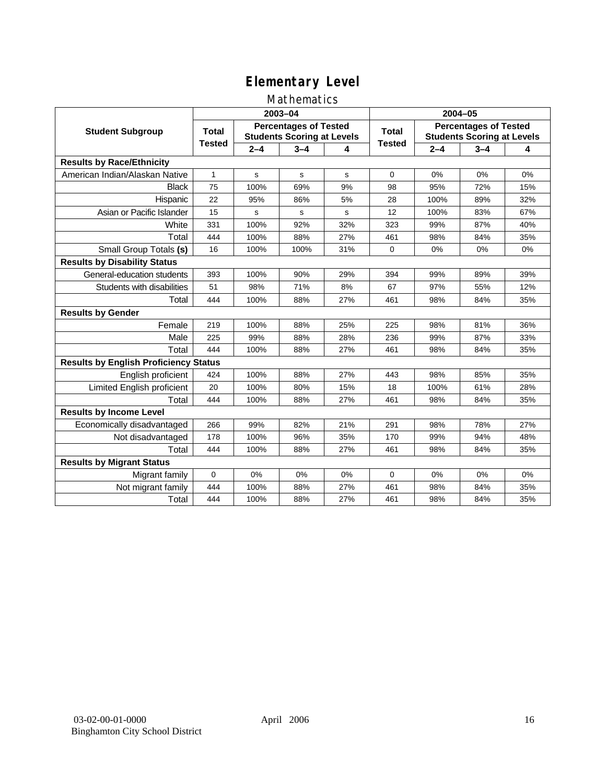### Mathematics

|                                              |               |             | 2003-04                                                           |     | 2004-05       |         |                                                                   |     |  |
|----------------------------------------------|---------------|-------------|-------------------------------------------------------------------|-----|---------------|---------|-------------------------------------------------------------------|-----|--|
| <b>Student Subgroup</b>                      | <b>Total</b>  |             | <b>Percentages of Tested</b><br><b>Students Scoring at Levels</b> |     | Total         |         | <b>Percentages of Tested</b><br><b>Students Scoring at Levels</b> |     |  |
|                                              | <b>Tested</b> | $2 - 4$     | $3 - 4$                                                           | 4   | <b>Tested</b> | $2 - 4$ | $3 - 4$                                                           | 4   |  |
| <b>Results by Race/Ethnicity</b>             |               |             |                                                                   |     |               |         |                                                                   |     |  |
| American Indian/Alaskan Native               | $\mathbf{1}$  | $\mathbf s$ | s                                                                 | s   | $\mathbf 0$   | 0%      | 0%                                                                | 0%  |  |
| <b>Black</b>                                 | 75            | 100%        | 69%                                                               | 9%  | 98            | 95%     | 72%                                                               | 15% |  |
| Hispanic                                     | 22            | 95%         | 86%                                                               | 5%  | 28            | 100%    | 89%                                                               | 32% |  |
| Asian or Pacific Islander                    | 15            | s           | $\mathbf s$                                                       | s   | 12            | 100%    | 83%                                                               | 67% |  |
| White                                        | 331           | 100%        | 92%                                                               | 32% | 323           | 99%     | 87%                                                               | 40% |  |
| Total                                        | 444           | 100%        | 88%                                                               | 27% | 461           | 98%     | 84%                                                               | 35% |  |
| Small Group Totals (s)                       | 16            | 100%        | 100%                                                              | 31% | 0             | 0%      | 0%                                                                | 0%  |  |
| <b>Results by Disability Status</b>          |               |             |                                                                   |     |               |         |                                                                   |     |  |
| General-education students                   | 393           | 100%        | 90%                                                               | 29% | 394           | 99%     | 89%                                                               | 39% |  |
| Students with disabilities                   | 51            | 98%         | 71%                                                               | 8%  | 67            | 97%     | 55%                                                               | 12% |  |
| Total                                        | 444           | 100%        | 88%                                                               | 27% | 461           | 98%     | 84%                                                               | 35% |  |
| <b>Results by Gender</b>                     |               |             |                                                                   |     |               |         |                                                                   |     |  |
| Female                                       | 219           | 100%        | 88%                                                               | 25% | 225           | 98%     | 81%                                                               | 36% |  |
| Male                                         | 225           | 99%         | 88%                                                               | 28% | 236           | 99%     | 87%                                                               | 33% |  |
| Total                                        | 444           | 100%        | 88%                                                               | 27% | 461           | 98%     | 84%                                                               | 35% |  |
| <b>Results by English Proficiency Status</b> |               |             |                                                                   |     |               |         |                                                                   |     |  |
| English proficient                           | 424           | 100%        | 88%                                                               | 27% | 443           | 98%     | 85%                                                               | 35% |  |
| Limited English proficient                   | 20            | 100%        | 80%                                                               | 15% | 18            | 100%    | 61%                                                               | 28% |  |
| Total                                        | 444           | 100%        | 88%                                                               | 27% | 461           | 98%     | 84%                                                               | 35% |  |
| <b>Results by Income Level</b>               |               |             |                                                                   |     |               |         |                                                                   |     |  |
| Economically disadvantaged                   | 266           | 99%         | 82%                                                               | 21% | 291           | 98%     | 78%                                                               | 27% |  |
| Not disadvantaged                            | 178           | 100%        | 96%                                                               | 35% | 170           | 99%     | 94%                                                               | 48% |  |
| Total                                        | 444           | 100%        | 88%                                                               | 27% | 461           | 98%     | 84%                                                               | 35% |  |
| <b>Results by Migrant Status</b>             |               |             |                                                                   |     |               |         |                                                                   |     |  |
| Migrant family                               | 0             | 0%          | 0%                                                                | 0%  | $\Omega$      | 0%      | 0%                                                                | 0%  |  |
| Not migrant family                           | 444           | 100%        | 88%                                                               | 27% | 461           | 98%     | 84%                                                               | 35% |  |
| Total                                        | 444           | 100%        | 88%                                                               | 27% | 461           | 98%     | 84%                                                               | 35% |  |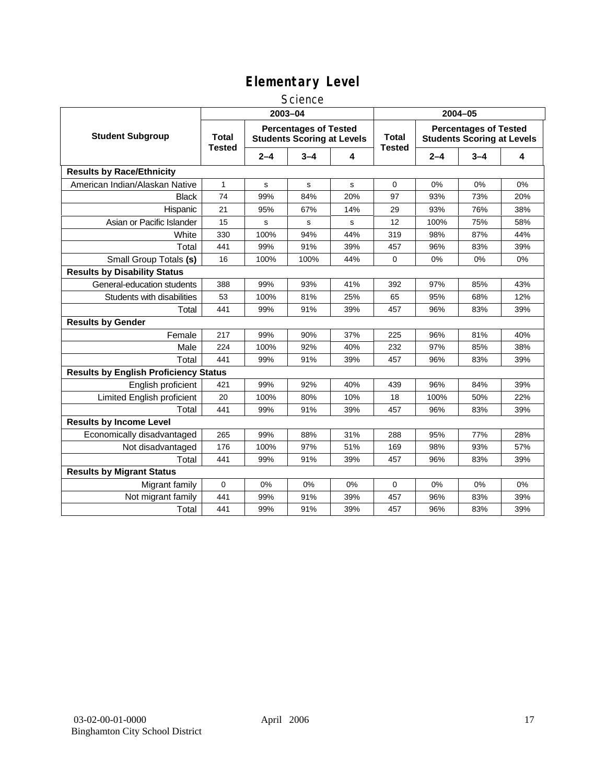### **Science**

|                                              | 2003-04                       |             |                                                                   |     | 2004-05                       |         |                                                                   |     |
|----------------------------------------------|-------------------------------|-------------|-------------------------------------------------------------------|-----|-------------------------------|---------|-------------------------------------------------------------------|-----|
| <b>Student Subgroup</b>                      | <b>Total</b><br><b>Tested</b> |             | <b>Percentages of Tested</b><br><b>Students Scoring at Levels</b> |     | <b>Total</b><br><b>Tested</b> |         | <b>Percentages of Tested</b><br><b>Students Scoring at Levels</b> |     |
|                                              |                               | $2 - 4$     | $3 - 4$                                                           | 4   |                               | $2 - 4$ | $3 - 4$                                                           | 4   |
| <b>Results by Race/Ethnicity</b>             |                               |             |                                                                   |     |                               |         |                                                                   |     |
| American Indian/Alaskan Native               | $\mathbf{1}$                  | $\mathbf s$ | $\mathbf s$                                                       | s   | $\mathbf 0$                   | 0%      | 0%                                                                | 0%  |
| <b>Black</b>                                 | 74                            | 99%         | 84%                                                               | 20% | 97                            | 93%     | 73%                                                               | 20% |
| Hispanic                                     | 21                            | 95%         | 67%                                                               | 14% | 29                            | 93%     | 76%                                                               | 38% |
| Asian or Pacific Islander                    | 15                            | s           | s                                                                 | s   | 12                            | 100%    | 75%                                                               | 58% |
| White                                        | 330                           | 100%        | 94%                                                               | 44% | 319                           | 98%     | 87%                                                               | 44% |
| Total                                        | 441                           | 99%         | 91%                                                               | 39% | 457                           | 96%     | 83%                                                               | 39% |
| Small Group Totals (s)                       | 16                            | 100%        | 100%                                                              | 44% | $\mathbf 0$                   | 0%      | 0%                                                                | 0%  |
| <b>Results by Disability Status</b>          |                               |             |                                                                   |     |                               |         |                                                                   |     |
| General-education students                   | 388                           | 99%         | 93%                                                               | 41% | 392                           | 97%     | 85%                                                               | 43% |
| Students with disabilities                   | 53                            | 100%        | 81%                                                               | 25% | 65                            | 95%     | 68%                                                               | 12% |
| Total                                        | 441                           | 99%         | 91%                                                               | 39% | 457                           | 96%     | 83%                                                               | 39% |
| <b>Results by Gender</b>                     |                               |             |                                                                   |     |                               |         |                                                                   |     |
| Female                                       | 217                           | 99%         | 90%                                                               | 37% | 225                           | 96%     | 81%                                                               | 40% |
| Male                                         | 224                           | 100%        | 92%                                                               | 40% | 232                           | 97%     | 85%                                                               | 38% |
| Total                                        | 441                           | 99%         | 91%                                                               | 39% | 457                           | 96%     | 83%                                                               | 39% |
| <b>Results by English Proficiency Status</b> |                               |             |                                                                   |     |                               |         |                                                                   |     |
| English proficient                           | 421                           | 99%         | 92%                                                               | 40% | 439                           | 96%     | 84%                                                               | 39% |
| Limited English proficient                   | 20                            | 100%        | 80%                                                               | 10% | 18                            | 100%    | 50%                                                               | 22% |
| Total                                        | 441                           | 99%         | 91%                                                               | 39% | 457                           | 96%     | 83%                                                               | 39% |
| <b>Results by Income Level</b>               |                               |             |                                                                   |     |                               |         |                                                                   |     |
| Economically disadvantaged                   | 265                           | 99%         | 88%                                                               | 31% | 288                           | 95%     | 77%                                                               | 28% |
| Not disadvantaged                            | 176                           | 100%        | 97%                                                               | 51% | 169                           | 98%     | 93%                                                               | 57% |
| Total                                        | 441                           | 99%         | 91%                                                               | 39% | 457                           | 96%     | 83%                                                               | 39% |
| <b>Results by Migrant Status</b>             |                               |             |                                                                   |     |                               |         |                                                                   |     |
| Migrant family                               | 0                             | 0%          | 0%                                                                | 0%  | $\mathbf 0$                   | 0%      | 0%                                                                | 0%  |
| Not migrant family                           | 441                           | 99%         | 91%                                                               | 39% | 457                           | 96%     | 83%                                                               | 39% |
| Total                                        | 441                           | 99%         | 91%                                                               | 39% | 457                           | 96%     | 83%                                                               | 39% |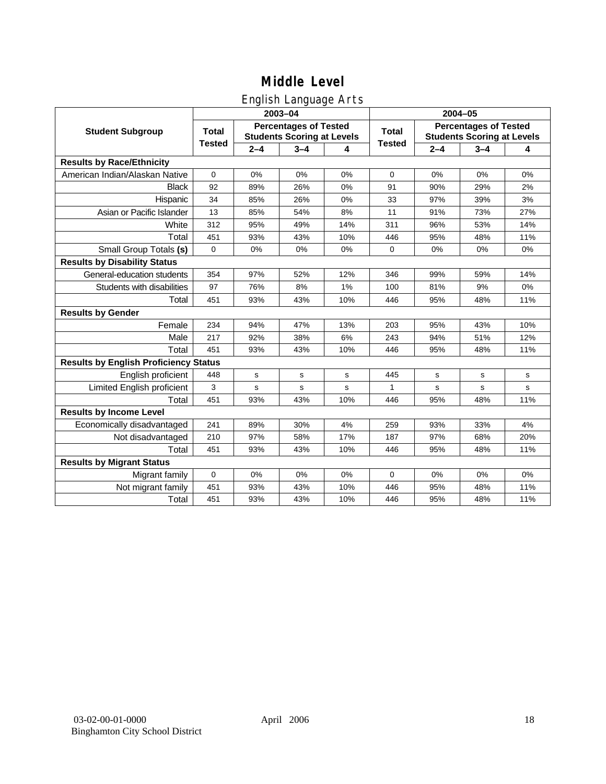## English Language Arts

|                                              |               |             | ັ<br>2003-04                                                      |     | 2004-05       |         |                                                                   |       |  |
|----------------------------------------------|---------------|-------------|-------------------------------------------------------------------|-----|---------------|---------|-------------------------------------------------------------------|-------|--|
| <b>Student Subgroup</b>                      | <b>Total</b>  |             | <b>Percentages of Tested</b><br><b>Students Scoring at Levels</b> |     | <b>Total</b>  |         | <b>Percentages of Tested</b><br><b>Students Scoring at Levels</b> |       |  |
|                                              | <b>Tested</b> | $2 - 4$     | $3 - 4$                                                           | 4   | <b>Tested</b> | $2 - 4$ | $3 - 4$                                                           | 4     |  |
| <b>Results by Race/Ethnicity</b>             |               |             |                                                                   |     |               |         |                                                                   |       |  |
| American Indian/Alaskan Native               | $\mathbf 0$   | 0%          | 0%                                                                | 0%  | $\mathbf 0$   | 0%      | 0%                                                                | 0%    |  |
| <b>Black</b>                                 | 92            | 89%         | 26%                                                               | 0%  | 91            | 90%     | 29%                                                               | 2%    |  |
| Hispanic                                     | 34            | 85%         | 26%                                                               | 0%  | 33            | 97%     | 39%                                                               | 3%    |  |
| Asian or Pacific Islander                    | 13            | 85%         | 54%                                                               | 8%  | 11            | 91%     | 73%                                                               | 27%   |  |
| White                                        | 312           | 95%         | 49%                                                               | 14% | 311           | 96%     | 53%                                                               | 14%   |  |
| Total                                        | 451           | 93%         | 43%                                                               | 10% | 446           | 95%     | 48%                                                               | 11%   |  |
| Small Group Totals (s)                       | $\mathbf 0$   | 0%          | 0%                                                                | 0%  | $\mathbf 0$   | 0%      | 0%                                                                | 0%    |  |
| <b>Results by Disability Status</b>          |               |             |                                                                   |     |               |         |                                                                   |       |  |
| General-education students                   | 354           | 97%         | 52%                                                               | 12% | 346           | 99%     | 59%                                                               | 14%   |  |
| Students with disabilities                   | 97            | 76%         | 8%                                                                | 1%  | 100           | 81%     | 9%                                                                | $0\%$ |  |
| Total                                        | 451           | 93%         | 43%                                                               | 10% | 446           | 95%     | 48%                                                               | 11%   |  |
| <b>Results by Gender</b>                     |               |             |                                                                   |     |               |         |                                                                   |       |  |
| Female                                       | 234           | 94%         | 47%                                                               | 13% | 203           | 95%     | 43%                                                               | 10%   |  |
| Male                                         | 217           | 92%         | 38%                                                               | 6%  | 243           | 94%     | 51%                                                               | 12%   |  |
| Total                                        | 451           | 93%         | 43%                                                               | 10% | 446           | 95%     | 48%                                                               | 11%   |  |
| <b>Results by English Proficiency Status</b> |               |             |                                                                   |     |               |         |                                                                   |       |  |
| English proficient                           | 448           | $\mathbf s$ | s                                                                 | s   | 445           | s       | s                                                                 | s     |  |
| Limited English proficient                   | 3             | $\mathbf s$ | s                                                                 | s   | 1             | s       | $\mathbf s$                                                       | s     |  |
| Total                                        | 451           | 93%         | 43%                                                               | 10% | 446           | 95%     | 48%                                                               | 11%   |  |
| <b>Results by Income Level</b>               |               |             |                                                                   |     |               |         |                                                                   |       |  |
| Economically disadvantaged                   | 241           | 89%         | 30%                                                               | 4%  | 259           | 93%     | 33%                                                               | 4%    |  |
| Not disadvantaged                            | 210           | 97%         | 58%                                                               | 17% | 187           | 97%     | 68%                                                               | 20%   |  |
| Total                                        | 451           | 93%         | 43%                                                               | 10% | 446           | 95%     | 48%                                                               | 11%   |  |
| <b>Results by Migrant Status</b>             |               |             |                                                                   |     |               |         |                                                                   |       |  |
| Migrant family                               | $\mathbf 0$   | 0%          | 0%                                                                | 0%  | 0             | 0%      | 0%                                                                | 0%    |  |
| Not migrant family                           | 451           | 93%         | 43%                                                               | 10% | 446           | 95%     | 48%                                                               | 11%   |  |
| Total                                        | 451           | 93%         | 43%                                                               | 10% | 446           | 95%     | 48%                                                               | 11%   |  |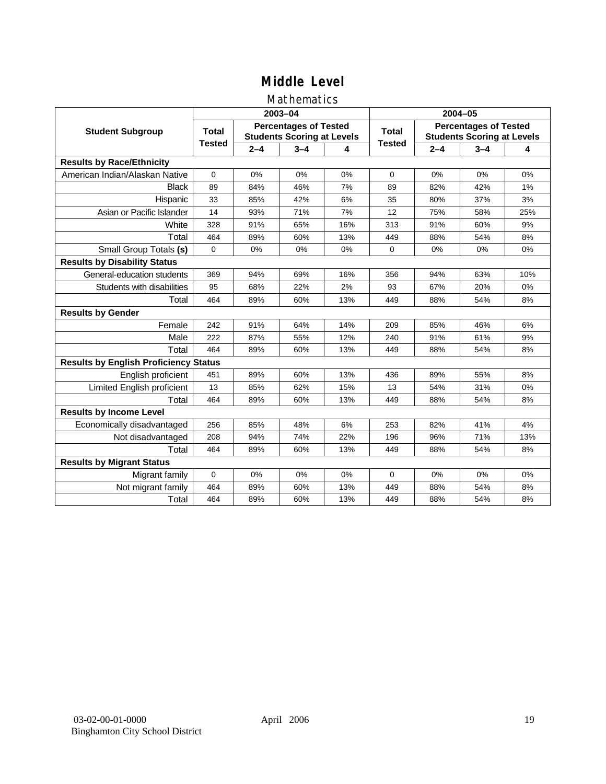### Mathematics

|                                              |               |         | 2003-04                                                           |     | 2004-05       |         |                                                                   |     |
|----------------------------------------------|---------------|---------|-------------------------------------------------------------------|-----|---------------|---------|-------------------------------------------------------------------|-----|
| <b>Student Subgroup</b>                      | <b>Total</b>  |         | <b>Percentages of Tested</b><br><b>Students Scoring at Levels</b> |     | Total         |         | <b>Percentages of Tested</b><br><b>Students Scoring at Levels</b> |     |
|                                              | <b>Tested</b> | $2 - 4$ | $3 - 4$                                                           | 4   | <b>Tested</b> | $2 - 4$ | $3 - 4$                                                           | 4   |
| <b>Results by Race/Ethnicity</b>             |               |         |                                                                   |     |               |         |                                                                   |     |
| American Indian/Alaskan Native               | $\mathbf 0$   | 0%      | 0%                                                                | 0%  | $\mathbf 0$   | 0%      | 0%                                                                | 0%  |
| <b>Black</b>                                 | 89            | 84%     | 46%                                                               | 7%  | 89            | 82%     | 42%                                                               | 1%  |
| Hispanic                                     | 33            | 85%     | 42%                                                               | 6%  | 35            | 80%     | 37%                                                               | 3%  |
| Asian or Pacific Islander                    | 14            | 93%     | 71%                                                               | 7%  | 12            | 75%     | 58%                                                               | 25% |
| White                                        | 328           | 91%     | 65%                                                               | 16% | 313           | 91%     | 60%                                                               | 9%  |
| Total                                        | 464           | 89%     | 60%                                                               | 13% | 449           | 88%     | 54%                                                               | 8%  |
| Small Group Totals (s)                       | $\mathbf 0$   | 0%      | 0%                                                                | 0%  | 0             | 0%      | 0%                                                                | 0%  |
| <b>Results by Disability Status</b>          |               |         |                                                                   |     |               |         |                                                                   |     |
| General-education students                   | 369           | 94%     | 69%                                                               | 16% | 356           | 94%     | 63%                                                               | 10% |
| Students with disabilities                   | 95            | 68%     | 22%                                                               | 2%  | 93            | 67%     | 20%                                                               | 0%  |
| Total                                        | 464           | 89%     | 60%                                                               | 13% | 449           | 88%     | 54%                                                               | 8%  |
| <b>Results by Gender</b>                     |               |         |                                                                   |     |               |         |                                                                   |     |
| Female                                       | 242           | 91%     | 64%                                                               | 14% | 209           | 85%     | 46%                                                               | 6%  |
| Male                                         | 222           | 87%     | 55%                                                               | 12% | 240           | 91%     | 61%                                                               | 9%  |
| Total                                        | 464           | 89%     | 60%                                                               | 13% | 449           | 88%     | 54%                                                               | 8%  |
| <b>Results by English Proficiency Status</b> |               |         |                                                                   |     |               |         |                                                                   |     |
| English proficient                           | 451           | 89%     | 60%                                                               | 13% | 436           | 89%     | 55%                                                               | 8%  |
| Limited English proficient                   | 13            | 85%     | 62%                                                               | 15% | 13            | 54%     | 31%                                                               | 0%  |
| Total                                        | 464           | 89%     | 60%                                                               | 13% | 449           | 88%     | 54%                                                               | 8%  |
| <b>Results by Income Level</b>               |               |         |                                                                   |     |               |         |                                                                   |     |
| Economically disadvantaged                   | 256           | 85%     | 48%                                                               | 6%  | 253           | 82%     | 41%                                                               | 4%  |
| Not disadvantaged                            | 208           | 94%     | 74%                                                               | 22% | 196           | 96%     | 71%                                                               | 13% |
| Total                                        | 464           | 89%     | 60%                                                               | 13% | 449           | 88%     | 54%                                                               | 8%  |
| <b>Results by Migrant Status</b>             |               |         |                                                                   |     |               |         |                                                                   |     |
| Migrant family                               | 0             | 0%      | 0%                                                                | 0%  | $\Omega$      | 0%      | 0%                                                                | 0%  |
| Not migrant family                           | 464           | 89%     | 60%                                                               | 13% | 449           | 88%     | 54%                                                               | 8%  |
| Total                                        | 464           | 89%     | 60%                                                               | 13% | 449           | 88%     | 54%                                                               | 8%  |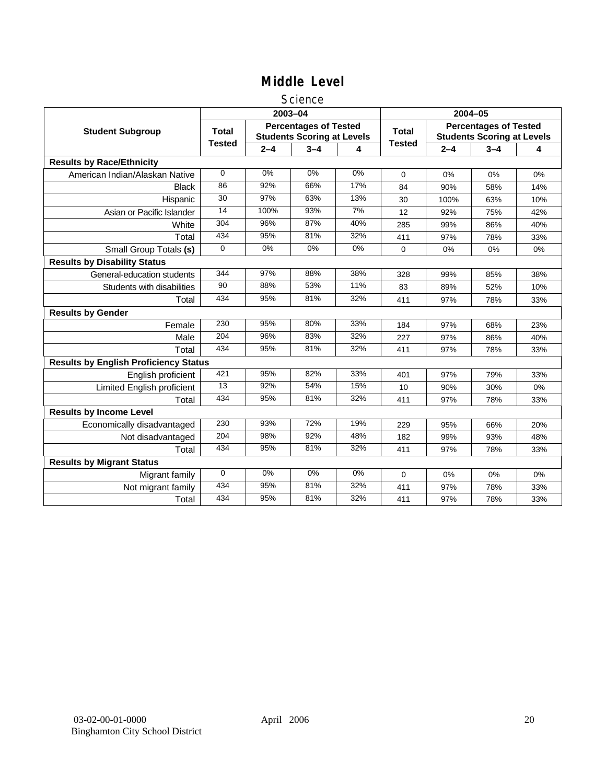### **Science**

|                                              |                 |         | 2003-04                                                           |                  | 2004-05       |         |                                                                   |     |
|----------------------------------------------|-----------------|---------|-------------------------------------------------------------------|------------------|---------------|---------|-------------------------------------------------------------------|-----|
| <b>Student Subgroup</b>                      | <b>Total</b>    |         | <b>Percentages of Tested</b><br><b>Students Scoring at Levels</b> |                  | <b>Total</b>  |         | <b>Percentages of Tested</b><br><b>Students Scoring at Levels</b> |     |
|                                              | <b>Tested</b>   | $2 - 4$ | $3 - 4$                                                           | 4                | <b>Tested</b> | $2 - 4$ | $3 - 4$                                                           | 4   |
| <b>Results by Race/Ethnicity</b>             |                 |         |                                                                   |                  |               |         |                                                                   |     |
| American Indian/Alaskan Native               | $\mathbf 0$     | 0%      | 0%                                                                | 0%               | $\Omega$      | 0%      | 0%                                                                | 0%  |
| <b>Black</b>                                 | 86              | 92%     | 66%                                                               | 17%              | 84            | 90%     | 58%                                                               | 14% |
| Hispanic                                     | 30              | 97%     | 63%                                                               | 13%              | 30            | 100%    | 63%                                                               | 10% |
| Asian or Pacific Islander                    | 14              | 100%    | 93%                                                               | $\overline{7\%}$ | 12            | 92%     | 75%                                                               | 42% |
| White                                        | 304             | 96%     | 87%                                                               | 40%              | 285           | 99%     | 86%                                                               | 40% |
| Total                                        | 434             | 95%     | 81%                                                               | 32%              | 411           | 97%     | 78%                                                               | 33% |
| Small Group Totals (s)                       | $\Omega$        | 0%      | 0%                                                                | 0%               | $\mathbf 0$   | 0%      | 0%                                                                | 0%  |
| <b>Results by Disability Status</b>          |                 |         |                                                                   |                  |               |         |                                                                   |     |
| General-education students                   | 344             | 97%     | 88%                                                               | 38%              | 328           | 99%     | 85%                                                               | 38% |
| Students with disabilities                   | $\overline{90}$ | 88%     | 53%                                                               | 11%              | 83            | 89%     | 52%                                                               | 10% |
| Total                                        | 434             | 95%     | 81%                                                               | 32%              | 411           | 97%     | 78%                                                               | 33% |
| <b>Results by Gender</b>                     |                 |         |                                                                   |                  |               |         |                                                                   |     |
| Female                                       | 230             | 95%     | 80%                                                               | 33%              | 184           | 97%     | 68%                                                               | 23% |
| Male                                         | 204             | 96%     | 83%                                                               | 32%              | 227           | 97%     | 86%                                                               | 40% |
| Total                                        | 434             | 95%     | 81%                                                               | 32%              | 411           | 97%     | 78%                                                               | 33% |
| <b>Results by English Proficiency Status</b> |                 |         |                                                                   |                  |               |         |                                                                   |     |
| English proficient                           | 421             | 95%     | 82%                                                               | 33%              | 401           | 97%     | 79%                                                               | 33% |
| Limited English proficient                   | $\overline{13}$ | 92%     | 54%                                                               | 15%              | 10            | 90%     | 30%                                                               | 0%  |
| Total                                        | 434             | 95%     | 81%                                                               | 32%              | 411           | 97%     | 78%                                                               | 33% |
| <b>Results by Income Level</b>               |                 |         |                                                                   |                  |               |         |                                                                   |     |
| Economically disadvantaged                   | 230             | 93%     | 72%                                                               | 19%              | 229           | 95%     | 66%                                                               | 20% |
| Not disadvantaged                            | 204             | 98%     | 92%                                                               | 48%              | 182           | 99%     | 93%                                                               | 48% |
| Total                                        | 434             | 95%     | 81%                                                               | 32%              | 411           | 97%     | 78%                                                               | 33% |
| <b>Results by Migrant Status</b>             |                 |         |                                                                   |                  |               |         |                                                                   |     |
| Migrant family                               | $\mathbf 0$     | 0%      | 0%                                                                | 0%               | 0             | 0%      | 0%                                                                | 0%  |
| Not migrant family                           | 434             | 95%     | 81%                                                               | 32%              | 411           | 97%     | 78%                                                               | 33% |
| Total                                        | 434             | 95%     | 81%                                                               | 32%              | 411           | 97%     | 78%                                                               | 33% |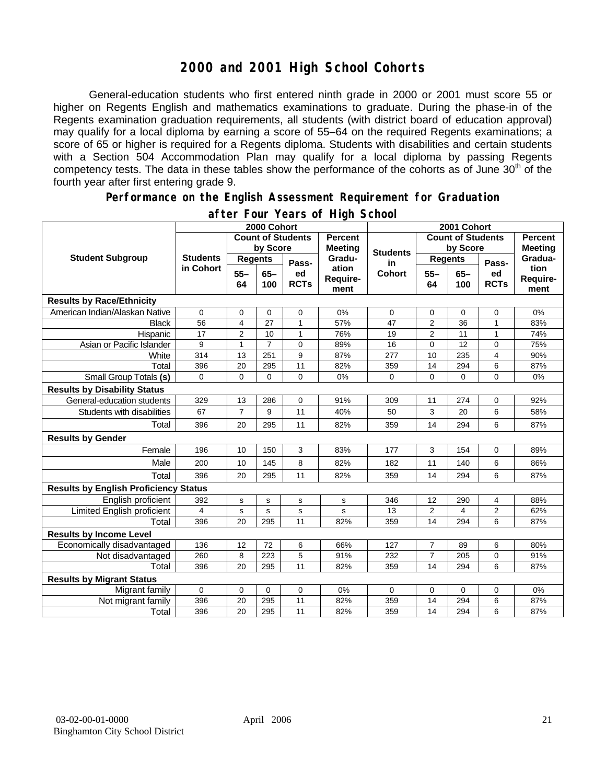### **2000 and 2001 High School Cohorts**

General-education students who first entered ninth grade in 2000 or 2001 must score 55 or higher on Regents English and mathematics examinations to graduate. During the phase-in of the Regents examination graduation requirements, all students (with district board of education approval) may qualify for a local diploma by earning a score of 55–64 on the required Regents examinations; a score of 65 or higher is required for a Regents diploma. Students with disabilities and certain students with a Section 504 Accommodation Plan may qualify for a local diploma by passing Regents competency tests. The data in these tables show the performance of the cohorts as of June  $30<sup>th</sup>$  of the fourth year after first entering grade 9.

#### **Performance on the English Assessment Requirement for Graduation**

|                                              | 2000 Cohort                  |                          |                |                   |                                  | 2001 Cohort     |                          |              |                   |                                  |
|----------------------------------------------|------------------------------|--------------------------|----------------|-------------------|----------------------------------|-----------------|--------------------------|--------------|-------------------|----------------------------------|
| <b>Student Subgroup</b>                      |                              | <b>Count of Students</b> |                |                   | <b>Percent</b><br><b>Meeting</b> |                 | <b>Count of Students</b> |              |                   | <b>Percent</b><br><b>Meeting</b> |
|                                              | <b>Students</b><br>in Cohort | by Score                 |                |                   |                                  | <b>Students</b> | by Score                 |              |                   |                                  |
|                                              |                              | <b>Regents</b>           |                | Pass-             | Gradu-                           | in              | <b>Regents</b>           |              | Pass-             | Gradua-                          |
|                                              |                              | $55 -$<br>64             | $65 -$<br>100  | ed<br><b>RCTs</b> | ation<br>Require-<br>ment        | <b>Cohort</b>   | $55 -$<br>64             | $65-$<br>100 | ed<br><b>RCTs</b> | tion<br>Require-<br>ment         |
| <b>Results by Race/Ethnicity</b>             |                              |                          |                |                   |                                  |                 |                          |              |                   |                                  |
| American Indian/Alaskan Native               | $\Omega$                     | $\mathbf 0$              | $\mathbf 0$    | 0                 | 0%                               | 0               | 0                        | $\mathbf 0$  | 0                 | 0%                               |
| <b>Black</b>                                 | 56                           | 4                        | 27             | $\mathbf{1}$      | 57%                              | 47              | $\overline{2}$           | 36           | $\mathbf{1}$      | 83%                              |
| Hispanic                                     | 17                           | $\overline{2}$           | 10             | $\mathbf{1}$      | 76%                              | 19              | $\overline{2}$           | 11           | $\mathbf{1}$      | 74%                              |
| Asian or Pacific Islander                    | 9                            | $\mathbf{1}$             | $\overline{7}$ | 0                 | 89%                              | 16              | 0                        | 12           | 0                 | 75%                              |
| White                                        | 314                          | 13                       | 251            | 9                 | 87%                              | 277             | 10                       | 235          | 4                 | 90%                              |
| Total                                        | 396                          | 20                       | 295            | 11                | 82%                              | 359             | 14                       | 294          | 6                 | 87%                              |
| Small Group Totals (s)                       | $\Omega$                     | $\Omega$                 | $\Omega$       | $\overline{0}$    | 0%                               | $\Omega$        | $\Omega$                 | 0            | 0                 | 0%                               |
| <b>Results by Disability Status</b>          |                              |                          |                |                   |                                  |                 |                          |              |                   |                                  |
| General-education students                   | 329                          | 13                       | 286            | 0                 | 91%                              | 309             | 11                       | 274          | 0                 | 92%                              |
| Students with disabilities                   | 67                           | $\overline{7}$           | 9              | 11                | 40%                              | 50              | 3                        | 20           | 6                 | 58%                              |
| Total                                        | 396                          | 20                       | 295            | 11                | 82%                              | 359             | 14                       | 294          | 6                 | 87%                              |
| <b>Results by Gender</b>                     |                              |                          |                |                   |                                  |                 |                          |              |                   |                                  |
| Female                                       | 196                          | 10 <sup>10</sup>         | 150            | 3                 | 83%                              | 177             | 3                        | 154          | $\Omega$          | 89%                              |
| Male                                         | 200                          | 10                       | 145            | 8                 | 82%                              | 182             | 11                       | 140          | 6                 | 86%                              |
| Total                                        | 396                          | 20                       | 295            | 11                | 82%                              | 359             | 14                       | 294          | 6                 | 87%                              |
| <b>Results by English Proficiency Status</b> |                              |                          |                |                   |                                  |                 |                          |              |                   |                                  |
| English proficient                           | 392                          | s                        | s              | s                 | s                                | 346             | 12                       | 290          | 4                 | 88%                              |
| Limited English proficient                   | 4                            | $\mathbf S$              | s              | s                 | s                                | 13              | $\overline{2}$           | 4            | 2                 | 62%                              |
| Total                                        | 396                          | 20                       | 295            | 11                | 82%                              | 359             | 14                       | 294          | 6                 | 87%                              |
| <b>Results by Income Level</b>               |                              |                          |                |                   |                                  |                 |                          |              |                   |                                  |
| Economically disadvantaged                   | 136                          | 12                       | 72             | 6                 | 66%                              | 127             | $\overline{7}$           | 89           | 6                 | 80%                              |
| Not disadvantaged                            | 260                          | 8                        | 223            | 5                 | 91%                              | 232             | $\overline{7}$           | 205          | 0                 | 91%                              |
| Total                                        | 396                          | 20                       | 295            | 11                | 82%                              | 359             | 14                       | 294          | 6                 | 87%                              |
| <b>Results by Migrant Status</b>             |                              |                          |                |                   |                                  |                 |                          |              |                   |                                  |
| Migrant family                               | 0                            | $\mathbf 0$              | $\Omega$       | 0                 | 0%                               | 0               | 0                        | $\Omega$     | 0                 | 0%                               |
| Not migrant family                           | 396                          | 20                       | 295            | 11                | 82%                              | 359             | 14                       | 294          | 6                 | 87%                              |
| Total                                        | 396                          | 20                       | 295            | 11                | 82%                              | 359             | 14                       | 294          | 6                 | 87%                              |

### **after Four Years of High School**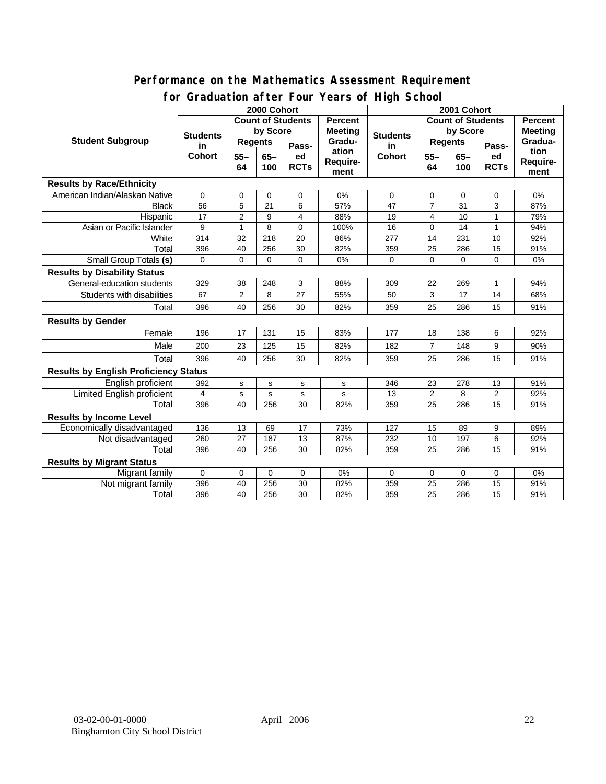### **Performance on the Mathematics Assessment Requirement for Graduation after Four Years of High School**

|                                              | ordduatholl artor roar roars o'r rhyn Sonool<br>2000 Cohort |                |             |             |                | 2001 Cohort         |                          |       |                |                |
|----------------------------------------------|-------------------------------------------------------------|----------------|-------------|-------------|----------------|---------------------|--------------------------|-------|----------------|----------------|
|                                              | <b>Count of Students</b>                                    |                |             |             | <b>Percent</b> |                     | <b>Count of Students</b> |       |                | <b>Percent</b> |
| <b>Student Subgroup</b>                      | <b>Students</b><br>in<br><b>Cohort</b>                      | by Score       |             |             | <b>Meeting</b> |                     | by Score                 |       |                | <b>Meeting</b> |
|                                              |                                                             | <b>Regents</b> |             |             | Gradu-         | <b>Students</b>     | <b>Regents</b>           |       |                | Gradua-        |
|                                              |                                                             | $55 -$         | $65 -$      | Pass-<br>ed | ation          | in<br><b>Cohort</b> | $55 -$                   | $65-$ | Pass-<br>ed    | tion           |
|                                              |                                                             | 64             | 100         | <b>RCTs</b> | Require-       |                     | 64                       | 100   | <b>RCTs</b>    | Require-       |
|                                              |                                                             |                |             |             | ment           |                     |                          |       |                | ment           |
| <b>Results by Race/Ethnicity</b>             |                                                             |                |             |             |                |                     |                          |       |                |                |
| American Indian/Alaskan Native               | $\Omega$                                                    | 0              | $\Omega$    | $\Omega$    | 0%             | 0                   | 0                        | 0     | 0              | 0%             |
| <b>Black</b>                                 | 56                                                          | 5              | 21          | 6           | 57%            | 47                  | $\overline{7}$           | 31    | 3              | 87%            |
| Hispanic                                     | 17                                                          | $\overline{2}$ | 9           | 4           | 88%            | 19                  | 4                        | 10    | $\mathbf{1}$   | 79%            |
| Asian or Pacific Islander                    | 9                                                           | 1              | 8           | $\Omega$    | 100%           | 16                  | 0                        | 14    | 1              | 94%            |
| White                                        | 314                                                         | 32             | 218         | 20          | 86%            | 277                 | 14                       | 231   | 10             | 92%            |
| Total                                        | 396                                                         | 40             | 256         | 30          | 82%            | 359                 | 25                       | 286   | 15             | 91%            |
| Small Group Totals (s)                       | 0                                                           | 0              | $\mathbf 0$ | 0           | 0%             | 0                   | $\mathbf 0$              | 0     | 0              | 0%             |
| <b>Results by Disability Status</b>          |                                                             |                |             |             |                |                     |                          |       |                |                |
| General-education students                   | 329                                                         | 38             | 248         | 3           | 88%            | 309                 | 22                       | 269   | 1              | 94%            |
| Students with disabilities                   | 67                                                          | $\overline{2}$ | 8           | 27          | 55%            | 50                  | 3                        | 17    | 14             | 68%            |
| Total                                        | 396                                                         | 40             | 256         | 30          | 82%            | 359                 | 25                       | 286   | 15             | 91%            |
| <b>Results by Gender</b>                     |                                                             |                |             |             |                |                     |                          |       |                |                |
| Female                                       | 196                                                         | 17             | 131         | 15          | 83%            | 177                 | 18                       | 138   | 6              | 92%            |
| Male                                         | 200                                                         | 23             | 125         | 15          | 82%            | 182                 | $\overline{7}$           | 148   | 9              | 90%            |
| Total                                        | 396                                                         | 40             | 256         | 30          | 82%            | 359                 | 25                       | 286   | 15             | 91%            |
| <b>Results by English Proficiency Status</b> |                                                             |                |             |             |                |                     |                          |       |                |                |
| English proficient                           | 392                                                         | s              | s           | $\mathbf s$ | $\mathbf s$    | 346                 | 23                       | 278   | 13             | 91%            |
| Limited English proficient                   | $\overline{4}$                                              | s              | s           | s           | s              | 13                  | $\overline{2}$           | 8     | $\overline{2}$ | 92%            |
| Total                                        | 396                                                         | 40             | 256         | 30          | 82%            | 359                 | 25                       | 286   | 15             | 91%            |
| <b>Results by Income Level</b>               |                                                             |                |             |             |                |                     |                          |       |                |                |
| Economically disadvantaged                   | 136                                                         | 13             | 69          | 17          | 73%            | 127                 | 15                       | 89    | 9              | 89%            |
| Not disadvantaged                            | 260                                                         | 27             | 187         | 13          | 87%            | 232                 | 10                       | 197   | 6              | 92%            |
| Total                                        | 396                                                         | 40             | 256         | 30          | 82%            | 359                 | 25                       | 286   | 15             | 91%            |
| <b>Results by Migrant Status</b>             |                                                             |                |             |             |                |                     |                          |       |                |                |
| Migrant family                               | $\mathbf 0$                                                 | 0              | 0           | 0           | 0%             | 0                   | 0                        | 0     | 0              | 0%             |
| Not migrant family                           | 396                                                         | 40             | 256         | 30          | 82%            | 359                 | 25                       | 286   | 15             | 91%            |
| Total                                        | 396                                                         | 40             | 256         | 30          | 82%            | 359                 | 25                       | 286   | 15             | 91%            |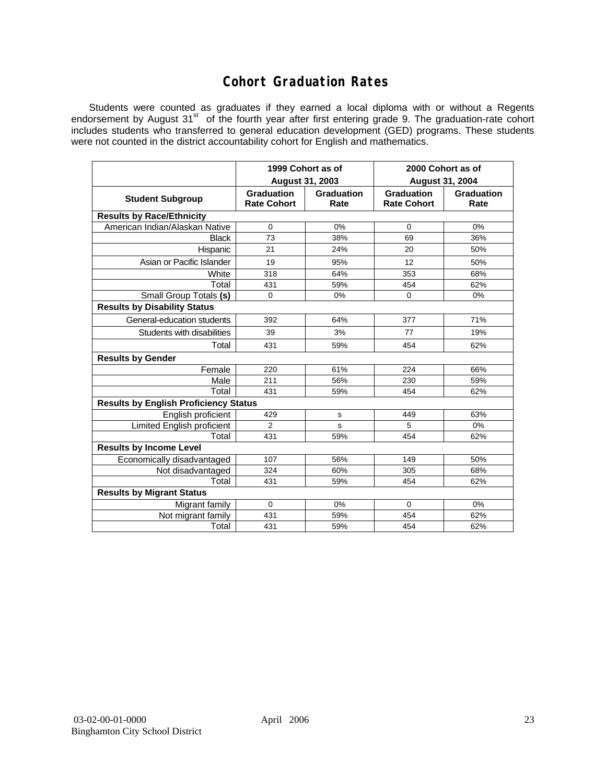## **Cohort Graduation Rates**

Students were counted as graduates if they earned a local diploma with or without a Regents endorsement by August 31<sup>st</sup> of the fourth year after first entering grade 9. The graduation-rate cohort includes students who transferred to general education development (GED) programs. These students were not counted in the district accountability cohort for English and mathematics.

|                                              | 1999 Cohort as of<br>August 31, 2003    |                    | 2000 Cohort as of<br><b>August 31, 2004</b> |                    |  |  |  |  |  |  |
|----------------------------------------------|-----------------------------------------|--------------------|---------------------------------------------|--------------------|--|--|--|--|--|--|
| <b>Student Subgroup</b>                      | <b>Graduation</b><br><b>Rate Cohort</b> | Graduation<br>Rate | <b>Graduation</b><br><b>Rate Cohort</b>     | Graduation<br>Rate |  |  |  |  |  |  |
| <b>Results by Race/Ethnicity</b>             |                                         |                    |                                             |                    |  |  |  |  |  |  |
| American Indian/Alaskan Native               | $\Omega$                                | 0%                 | $\Omega$                                    | 0%                 |  |  |  |  |  |  |
| <b>Black</b>                                 | 73                                      | 38%                | 69                                          | 36%                |  |  |  |  |  |  |
| Hispanic                                     | 21                                      | 24%                | 20                                          | 50%                |  |  |  |  |  |  |
| Asian or Pacific Islander                    | 19                                      | 95%                | 12                                          | 50%                |  |  |  |  |  |  |
| White                                        | 318                                     | 64%                | 353                                         | 68%                |  |  |  |  |  |  |
| Total                                        | 431                                     | 59%                | 454                                         | 62%                |  |  |  |  |  |  |
| Small Group Totals (s)                       | $\Omega$                                | 0%                 | 0                                           | 0%                 |  |  |  |  |  |  |
| <b>Results by Disability Status</b>          |                                         |                    |                                             |                    |  |  |  |  |  |  |
| General-education students                   | 392                                     | 64%                | 377                                         | 71%                |  |  |  |  |  |  |
| Students with disabilities                   | 39                                      | 3%                 | 77                                          | 19%                |  |  |  |  |  |  |
| Total                                        | 431                                     | 59%                | 454                                         | 62%                |  |  |  |  |  |  |
| <b>Results by Gender</b>                     |                                         |                    |                                             |                    |  |  |  |  |  |  |
| Female                                       | 220                                     | 61%                | 224                                         | 66%                |  |  |  |  |  |  |
| Male                                         | 211                                     | 56%                | 230                                         | 59%                |  |  |  |  |  |  |
| Total                                        | 431                                     | 59%                | 454                                         | 62%                |  |  |  |  |  |  |
| <b>Results by English Proficiency Status</b> |                                         |                    |                                             |                    |  |  |  |  |  |  |
| English proficient                           | 429                                     | s                  | 449                                         | 63%                |  |  |  |  |  |  |
| Limited English proficient                   | $\overline{2}$                          | s                  | 5                                           | 0%                 |  |  |  |  |  |  |
| Total                                        | 431                                     | 59%                | 454                                         | 62%                |  |  |  |  |  |  |
| <b>Results by Income Level</b>               |                                         |                    |                                             |                    |  |  |  |  |  |  |
| Economically disadvantaged                   | 107                                     | 56%                | 149                                         | 50%                |  |  |  |  |  |  |
| Not disadvantaged                            | 324                                     | 60%                | 305                                         | 68%                |  |  |  |  |  |  |
| Total                                        | 431                                     | 59%                | 454                                         | 62%                |  |  |  |  |  |  |
| <b>Results by Migrant Status</b>             |                                         |                    |                                             |                    |  |  |  |  |  |  |
| Migrant family                               | $\Omega$                                | $0\%$              | $\Omega$                                    | 0%                 |  |  |  |  |  |  |
| Not migrant family                           | 431                                     | 59%                | 454                                         | 62%                |  |  |  |  |  |  |
| Total                                        | 431                                     | 59%                | 454                                         | 62%                |  |  |  |  |  |  |